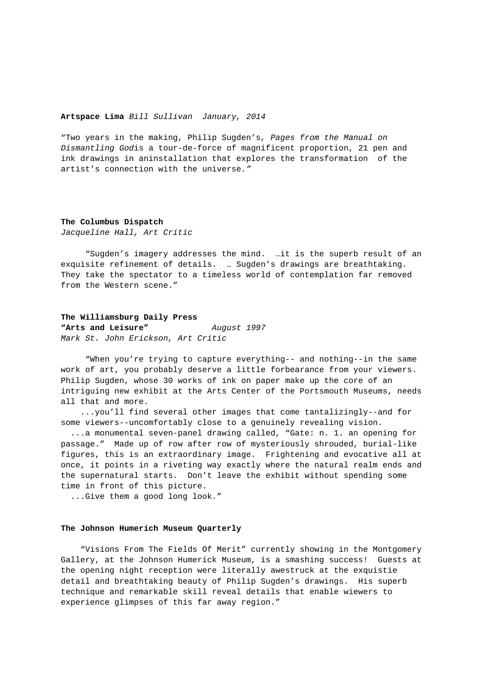### **Artspace Lima** Bill Sullivan January, 2014

"Two years in the making, Philip Sugden's, Pages from the Manual on Dismantling Godis a tour-de-force of magnificent proportion, 21 pen and ink drawings in aninstallation that explores the transformation of the artist's connection with the universe."

### **The Columbus Dispatch**

Jacqueline Hall, Art Critic

 "Sugden's imagery addresses the mind. …it is the superb result of an exquisite refinement of details. … Sugden's drawings are breathtaking. They take the spectator to a timeless world of contemplation far removed from the Western scene."

## **The Williamsburg Daily Press**

**"Arts and Leisure"** August 1997 Mark St. John Erickson, Art Critic

 "When you're trying to capture everything-- and nothing--in the same work of art, you probably deserve a little forbearance from your viewers. Philip Sugden, whose 30 works of ink on paper make up the core of an intriguing new exhibit at the Arts Center of the Portsmouth Museums, needs all that and more.

 ...you'll find several other images that come tantalizingly--and for some viewers--uncomfortably close to a genuinely revealing vision.

 ...a monumental seven-panel drawing called, "Gate: n. 1. an opening for passage." Made up of row after row of mysteriously shrouded, burial-like figures, this is an extraordinary image. Frightening and evocative all at once, it points in a riveting way exactly where the natural realm ends and the supernatural starts. Don't leave the exhibit without spending some time in front of this picture.

...Give them a good long look."

### **The Johnson Humerich Museum Quarterly**

 "Visions From The Fields Of Merit" currently showing in the Montgomery Gallery, at the Johnson Humerick Museum, is a smashing success! Guests at the opening night reception were literally awestruck at the exquistie detail and breathtaking beauty of Philip Sugden's drawings. His superb technique and remarkable skill reveal details that enable wiewers to experience glimpses of this far away region."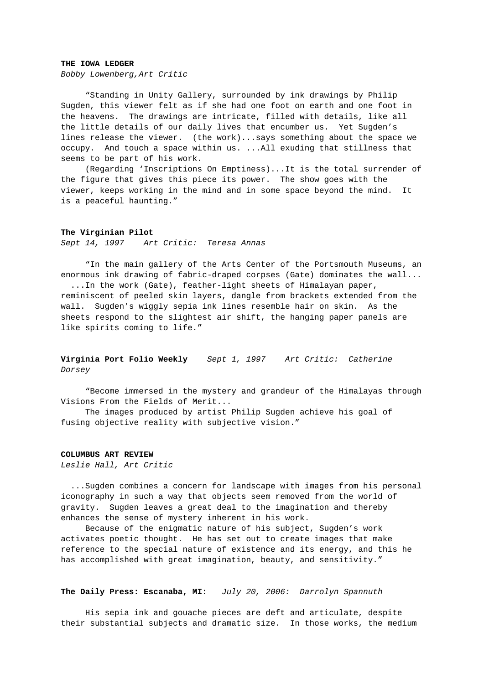### **THE IOWA LEDGER**

Bobby Lowenberg,Art Critic

 "Standing in Unity Gallery, surrounded by ink drawings by Philip Sugden, this viewer felt as if she had one foot on earth and one foot in the heavens. The drawings are intricate, filled with details, like all the little details of our daily lives that encumber us. Yet Sugden's lines release the viewer. (the work)...says something about the space we occupy. And touch a space within us. ...All exuding that stillness that seems to be part of his work.

 (Regarding 'Inscriptions On Emptiness)...It is the total surrender of the figure that gives this piece its power. The show goes with the viewer, keeps working in the mind and in some space beyond the mind. It is a peaceful haunting."

#### **The Virginian Pilot**

Sept 14, 1997 Art Critic: Teresa Annas

 "In the main gallery of the Arts Center of the Portsmouth Museums, an enormous ink drawing of fabric-draped corpses (Gate) dominates the wall... ...In the work (Gate), feather-light sheets of Himalayan paper,

reminiscent of peeled skin layers, dangle from brackets extended from the wall. Sugden's wiggly sepia ink lines resemble hair on skin. As the sheets respond to the slightest air shift, the hanging paper panels are like spirits coming to life."

# **Virginia Port Folio Weekly** Sept 1, 1997 Art Critic: Catherine Dorsey

 "Become immersed in the mystery and grandeur of the Himalayas through Visions From the Fields of Merit...

 The images produced by artist Philip Sugden achieve his goal of fusing objective reality with subjective vision."

### **COLUMBUS ART REVIEW**

Leslie Hall, Art Critic

 ...Sugden combines a concern for landscape with images from his personal iconography in such a way that objects seem removed from the world of gravity. Sugden leaves a great deal to the imagination and thereby enhances the sense of mystery inherent in his work.

 Because of the enigmatic nature of his subject, Sugden's work activates poetic thought. He has set out to create images that make reference to the special nature of existence and its energy, and this he has accomplished with great imagination, beauty, and sensitivity."

# **The Daily Press: Escanaba, MI:** July 20, 2006: Darrolyn Spannuth

 His sepia ink and gouache pieces are deft and articulate, despite their substantial subjects and dramatic size. In those works, the medium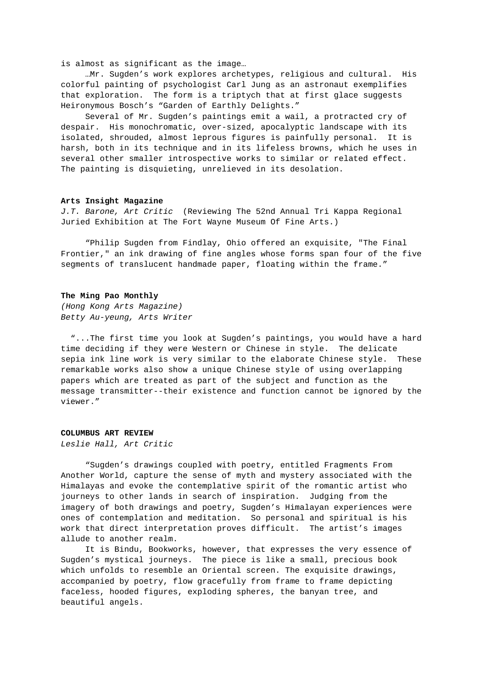is almost as significant as the image…

 …Mr. Sugden's work explores archetypes, religious and cultural. His colorful painting of psychologist Carl Jung as an astronaut exemplifies that exploration. The form is a triptych that at first glace suggests Heironymous Bosch's "Garden of Earthly Delights."

Several of Mr. Sugden's paintings emit a wail, a protracted cry of despair. His monochromatic, over-sized, apocalyptic landscape with its isolated, shrouded, almost leprous figures is painfully personal. It is harsh, both in its technique and in its lifeless browns, which he uses in several other smaller introspective works to similar or related effect. The painting is disquieting, unrelieved in its desolation.

# **Arts Insight Magazine**

J.T. Barone, Art Critic (Reviewing The 52nd Annual Tri Kappa Regional Juried Exhibition at The Fort Wayne Museum Of Fine Arts.)

 "Philip Sugden from Findlay, Ohio offered an exquisite, "The Final Frontier," an ink drawing of fine angles whose forms span four of the five segments of translucent handmade paper, floating within the frame."

#### **The Ming Pao Monthly**

(Hong Kong Arts Magazine) Betty Au-yeung, Arts Writer

 "...The first time you look at Sugden's paintings, you would have a hard time deciding if they were Western or Chinese in style. The delicate sepia ink line work is very similar to the elaborate Chinese style. These remarkable works also show a unique Chinese style of using overlapping papers which are treated as part of the subject and function as the message transmitter--their existence and function cannot be ignored by the viewer."

#### **COLUMBUS ART REVIEW**

Leslie Hall, Art Critic

 "Sugden's drawings coupled with poetry, entitled Fragments From Another World, capture the sense of myth and mystery associated with the Himalayas and evoke the contemplative spirit of the romantic artist who journeys to other lands in search of inspiration. Judging from the imagery of both drawings and poetry, Sugden's Himalayan experiences were ones of contemplation and meditation. So personal and spiritual is his work that direct interpretation proves difficult. The artist's images allude to another realm.

 It is Bindu, Bookworks, however, that expresses the very essence of Sugden's mystical journeys. The piece is like a small, precious book which unfolds to resemble an Oriental screen. The exquisite drawings, accompanied by poetry, flow gracefully from frame to frame depicting faceless, hooded figures, exploding spheres, the banyan tree, and beautiful angels.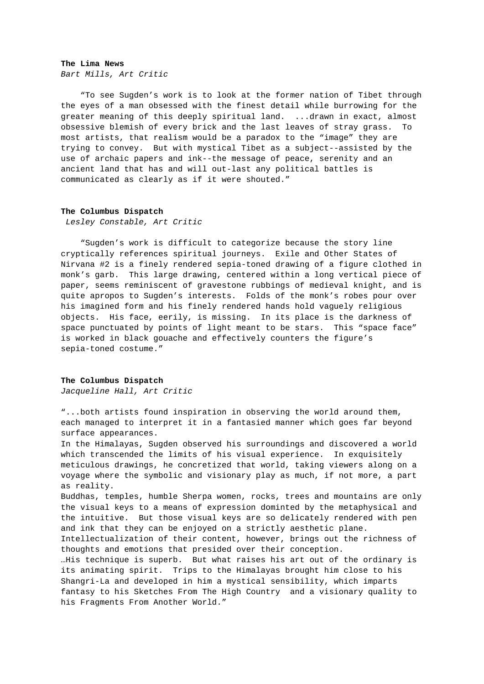#### **The Lima News**

Bart Mills, Art Critic

 "To see Sugden's work is to look at the former nation of Tibet through the eyes of a man obsessed with the finest detail while burrowing for the greater meaning of this deeply spiritual land. ...drawn in exact, almost obsessive blemish of every brick and the last leaves of stray grass. To most artists, that realism would be a paradox to the "image" they are trying to convey. But with mystical Tibet as a subject--assisted by the use of archaic papers and ink--the message of peace, serenity and an ancient land that has and will out-last any political battles is communicated as clearly as if it were shouted."

## **The Columbus Dispatch**

Lesley Constable, Art Critic

 "Sugden's work is difficult to categorize because the story line cryptically references spiritual journeys. Exile and Other States of Nirvana #2 is a finely rendered sepia-toned drawing of a figure clothed in monk's garb. This large drawing, centered within a long vertical piece of paper, seems reminiscent of gravestone rubbings of medieval knight, and is quite apropos to Sugden's interests. Folds of the monk's robes pour over his imagined form and his finely rendered hands hold vaguely religious objects. His face, eerily, is missing. In its place is the darkness of space punctuated by points of light meant to be stars. This "space face" is worked in black gouache and effectively counters the figure's sepia-toned costume."

## **The Columbus Dispatch**

Jacqueline Hall, Art Critic

"...both artists found inspiration in observing the world around them, each managed to interpret it in a fantasied manner which goes far beyond surface appearances.

In the Himalayas, Sugden observed his surroundings and discovered a world which transcended the limits of his visual experience. In exquisitely meticulous drawings, he concretized that world, taking viewers along on a voyage where the symbolic and visionary play as much, if not more, a part as reality.

Buddhas, temples, humble Sherpa women, rocks, trees and mountains are only the visual keys to a means of expression dominted by the metaphysical and the intuitive. But those visual keys are so delicately rendered with pen and ink that they can be enjoyed on a strictly aesthetic plane.

Intellectualization of their content, however, brings out the richness of thoughts and emotions that presided over their conception.

…His technique is superb. But what raises his art out of the ordinary is its animating spirit. Trips to the Himalayas brought him close to his Shangri-La and developed in him a mystical sensibility, which imparts fantasy to his Sketches From The High Country and a visionary quality to his Fragments From Another World."